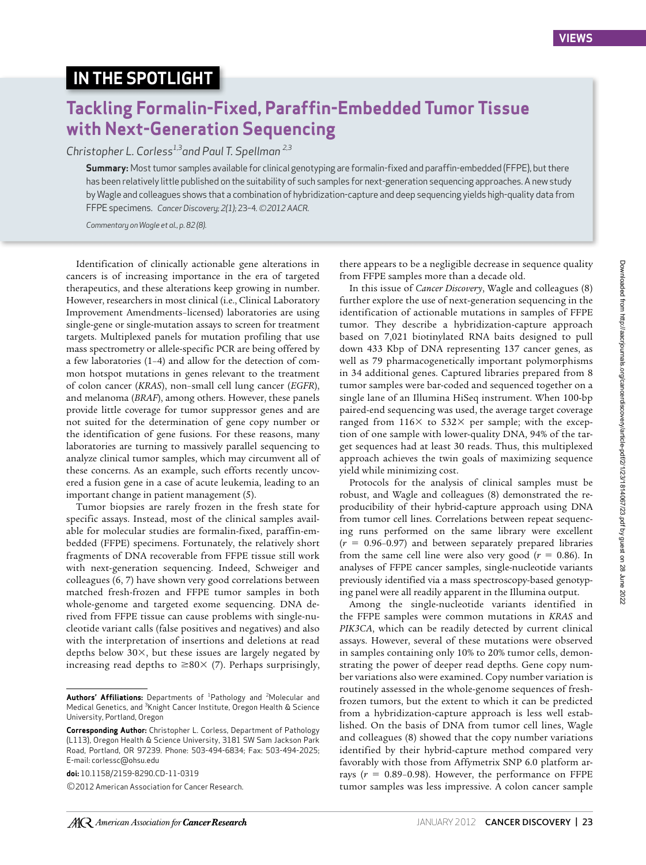## **IN THE SPOTLIGHT**

## **Tackling Formalin-Fixed, Paraffin-Embedded Tumor Tissue with Next-Generation Sequencing**

*Christopher L. Corless1,3and Paul T. Spellman 2,3*

**Summary:** Most tumor samples available for clinical genotyping are formalin-fixed and paraffin-embedded (FFPE), but there has been relatively little published on the suitability of such samples for next-generation sequencing approaches. A new study by Wagle and colleagues shows that a combination of hybridization-capture and deep sequencing yields high-quality data from FFPE specimens. *Cancer Discovery; 2(1);* 23–4*. ©2012 AACR.*

*Commentary on Wagle et al., p. 82 (8).*

Identification of clinically actionable gene alterations in cancers is of increasing importance in the era of targeted therapeutics, and these alterations keep growing in number. However, researchers in most clinical (i.e., Clinical Laboratory Improvement Amendments–licensed) laboratories are using single-gene or single-mutation assays to screen for treatment targets. Multiplexed panels for mutation profiling that use mass spectrometry or allele-specific PCR are being offered by a few laboratories (1–4) and allow for the detection of common hotspot mutations in genes relevant to the treatment of colon cancer (*KRAS*), non–small cell lung cancer (*EGFR*), and melanoma (*BRAF*), among others. However, these panels provide little coverage for tumor suppressor genes and are not suited for the determination of gene copy number or the identification of gene fusions. For these reasons, many laboratories are turning to massively parallel sequencing to analyze clinical tumor samples, which may circumvent all of these concerns. As an example, such efforts recently uncovered a fusion gene in a case of acute leukemia, leading to an important change in patient management (5).

Tumor biopsies are rarely frozen in the fresh state for specific assays. Instead, most of the clinical samples available for molecular studies are formalin-fixed, paraffin-embedded (FFPE) specimens. Fortunately, the relatively short fragments of DNA recoverable from FFPE tissue still work with next-generation sequencing. Indeed, Schweiger and colleagues (6, 7) have shown very good correlations between matched fresh-frozen and FFPE tumor samples in both whole-genome and targeted exome sequencing. DNA derived from FFPE tissue can cause problems with single-nucleotide variant calls (false positives and negatives) and also with the interpretation of insertions and deletions at read depths below  $30\times$ , but these issues are largely negated by increasing read depths to  $\geq 80 \times (7)$ . Perhaps surprisingly,

**doi:** 10.1158/2159-8290.CD-11-0319

©2012 American Association for Cancer Research.

there appears to be a negligible decrease in sequence quality from FFPE samples more than a decade old.

In this issue of *Cancer Discovery*, Wagle and colleagues (8) further explore the use of next-generation sequencing in the identification of actionable mutations in samples of FFPE tumor. They describe a hybridization-capture approach based on 7,021 biotinylated RNA baits designed to pull down 433 Kbp of DNA representing 137 cancer genes, as well as 79 pharmacogenetically important polymorphisms in 34 additional genes. Captured libraries prepared from 8 tumor samples were bar-coded and sequenced together on a single lane of an Illumina HiSeq instrument. When 100-bp paired-end sequencing was used, the average target coverage ranged from  $116\times$  to  $532\times$  per sample; with the exception of one sample with lower-quality DNA, 94% of the target sequences had at least 30 reads. Thus, this multiplexed approach achieves the twin goals of maximizing sequence yield while minimizing cost.

Protocols for the analysis of clinical samples must be robust, and Wagle and colleagues (8) demonstrated the reproducibility of their hybrid-capture approach using DNA from tumor cell lines. Correlations between repeat sequencing runs performed on the same library were excellent (*r* = 0.96–0.97) and between separately prepared libraries from the same cell line were also very good  $(r = 0.86)$ . In analyses of FFPE cancer samples, single-nucleotide variants previously identified via a mass spectroscopy-based genotyping panel were all readily apparent in the Illumina output.

Among the single-nucleotide variants identified in the FFPE samples were common mutations in *KRAS* and *PIK3CA*, which can be readily detected by current clinical assays. However, several of these mutations were observed in samples containing only 10% to 20% tumor cells, demonstrating the power of deeper read depths. Gene copy number variations also were examined. Copy number variation is routinely assessed in the whole-genome sequences of freshfrozen tumors, but the extent to which it can be predicted from a hybridization-capture approach is less well established. On the basis of DNA from tumor cell lines, Wagle and colleagues (8) showed that the copy number variations identified by their hybrid-capture method compared very favorably with those from Affymetrix SNP 6.0 platform arrays  $(r = 0.89 - 0.98)$ . However, the performance on FFPE tumor samples was less impressive. A colon cancer sample

Authors' Affiliations: Departments of <sup>1</sup>Pathology and <sup>2</sup>Molecular and Medical Genetics, and <sup>3</sup>Knight Cancer Institute, Oregon Health & Science University, Portland, Oregon

**Corresponding Author:** Christopher L. Corless, Department of Pathology (L113), Oregon Health & Science University, 3181 SW Sam Jackson Park Road, Portland, OR 97239. Phone: 503-494-6834; Fax: 503-494-2025; E-mail: corlessc@ohsu.edu